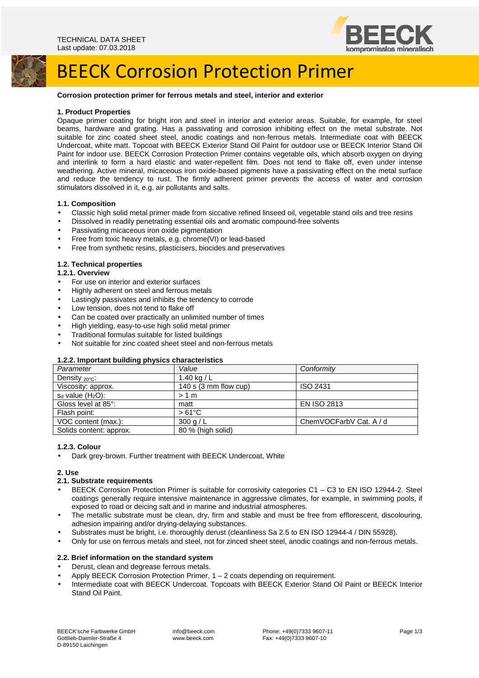

# BEECK Corrosion Protection Primer

#### **Corrosion protection primer for ferrous metals and steel, interior and exterior**

#### **1. Product Properties**

Opaque primer coating for bright iron and steel in interior and exterior areas. Suitable, for example, for steel beams, hardware and grating. Has a passivating and corrosion inhibiting effect on the metal substrate. Not suitable for zinc coated sheet steel, anodic coatings and non-ferrous metals. Intermediate coat with BEECK Undercoat, white matt. Topcoat with BEECK Exterior Stand Oil Paint for outdoor use or BEECK Interior Stand Oil Paint for indoor use. BEECK Corrosion Protection Primer contains vegetable oils, which absorb oxygen on drying and interlink to form a hard elastic and water-repellent film. Does not tend to flake off, even under intense weathering. Active mineral, micaceous iron oxide-based pigments have a passivating effect on the metal surface and reduce the tendency to rust. The firmly adherent primer prevents the access of water and corrosion stimulators dissolved in it, e.g. air pollutants and salts.

#### **1.1. Composition**

- Classic high solid metal primer made from siccative refined linseed oil, vegetable stand oils and tree resins
- Dissolved in readily penetrating essential oils and aromatic compound-free solvents
- Passivating micaceous iron oxide pigmentation
- Free from toxic heavy metals, e.g. chrome(VI) or lead-based
- Free from synthetic resins, plasticisers, biocides and preservatives

### **1.2. Technical properties**

#### **1.2.1. Overview**

- For use on interior and exterior surfaces
- Highly adherent on steel and ferrous metals
- Lastingly passivates and inhibits the tendency to corrode
- Low tension, does not tend to flake off
- Can be coated over practically an unlimited number of times
- High yielding, easy-to-use high solid metal primer
- Traditional formulas suitable for listed buildings
- Not suitable for zinc coated sheet steel and non-ferrous metals

#### **1.2.2. Important building physics characteristics**

| .<br>Parameter          | Value                 | Conformity              |
|-------------------------|-----------------------|-------------------------|
|                         | 1.40 kg / $L$         |                         |
| Density $20^{\circ}$ C: |                       |                         |
| Viscosity: approx.      | 140 s (3 mm flow cup) | <b>ISO 2431</b>         |
| $s_d$ value $(H_2O)$ :  | $>1$ m                |                         |
| Gloss level at 85°:     | matt                  | <b>EN ISO 2813</b>      |
| Flash point:            | $>61^{\circ}$ C       |                         |
| VOC content (max.):     | 300 g/L               | ChemVOCFarbV Cat. A / d |
| Solids content: approx. | 80 % (high solid)     |                         |

# **1.2.3. Colour**

• Dark grey-brown. Further treatment with BEECK Undercoat, White

#### **2. Use**

#### **2.1. Substrate requirements**

- BEECK Corrosion Protection Primer is suitable for corrosivity categories C1 C3 to EN ISO 12944-2. Steel coatings generally require intensive maintenance in aggressive climates, for example, in swimming pools, if exposed to road or deicing salt and in marine and industrial atmospheres.
- The metallic substrate must be clean, dry, firm and stable and must be free from efflorescent, discolouring, adhesion impairing and/or drying-delaying substances.
- Substrates must be bright, i.e. thoroughly derust (cleanliness Sa 2.5 to EN ISO 12944-4 / DIN 55928).
- Only for use on ferrous metals and steel, not for zinced sheet steel, anodic coatings and non-ferrous metals.

### **2.2. Brief information on the standard system**

- Derust, clean and degrease ferrous metals.
- Apply BEECK Corrosion Protection Primer, 1 2 coats depending on requirement.
- Intermediate coat with BEECK Undercoat. Topcoats with BEECK Exterior Stand Oil Paint or BEECK Interior Stand Oil Paint.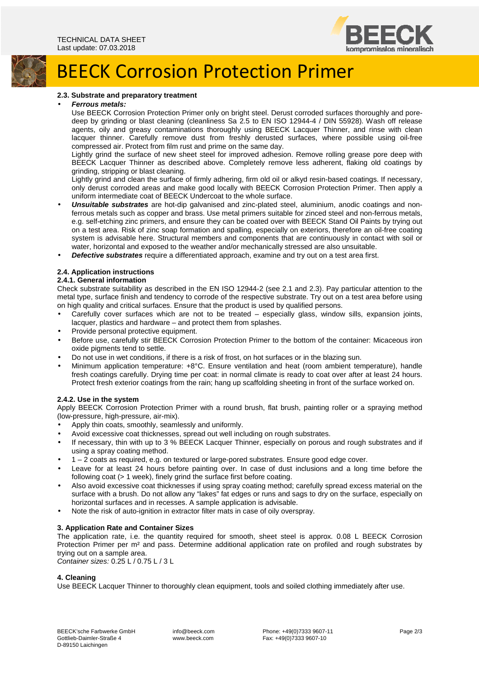



### **2.3. Substrate and preparatory treatment**

# • **Ferrous metals:**

Use BEECK Corrosion Protection Primer only on bright steel. Derust corroded surfaces thoroughly and poredeep by grinding or blast cleaning (cleanliness Sa 2.5 to EN ISO 12944-4 / DIN 55928). Wash off release agents, oily and greasy contaminations thoroughly using BEECK Lacquer Thinner, and rinse with clean lacquer thinner. Carefully remove dust from freshly derusted surfaces, where possible using oil-free compressed air. Protect from film rust and prime on the same day.

Lightly grind the surface of new sheet steel for improved adhesion. Remove rolling grease pore deep with BEECK Lacquer Thinner as described above. Completely remove less adherent, flaking old coatings by grinding, stripping or blast cleaning.

Lightly grind and clean the surface of firmly adhering, firm old oil or alkyd resin-based coatings. If necessary, only derust corroded areas and make good locally with BEECK Corrosion Protection Primer. Then apply a uniform intermediate coat of BEECK Undercoat to the whole surface.

- **Unsuitable substrates** are hot-dip galvanised and zinc-plated steel, aluminium, anodic coatings and nonferrous metals such as copper and brass. Use metal primers suitable for zinced steel and non-ferrous metals, e.g. self-etching zinc primers, and ensure they can be coated over with BEECK Stand Oil Paints by trying out on a test area. Risk of zinc soap formation and spalling, especially on exteriors, therefore an oil-free coating system is advisable here. Structural members and components that are continuously in contact with soil or water, horizontal and exposed to the weather and/or mechanically stressed are also unsuitable.
- **Defective substrates** require a differentiated approach, examine and try out on a test area first.

### **2.4. Application instructions**

### **2.4.1. General information**

Check substrate suitability as described in the EN ISO 12944-2 (see 2.1 and 2.3). Pay particular attention to the metal type, surface finish and tendency to corrode of the respective substrate. Try out on a test area before using on high quality and critical surfaces. Ensure that the product is used by qualified persons.

- Carefully cover surfaces which are not to be treated especially glass, window sills, expansion joints, lacquer, plastics and hardware – and protect them from splashes.
- Provide personal protective equipment.
- Before use, carefully stir BEECK Corrosion Protection Primer to the bottom of the container: Micaceous iron oxide pigments tend to settle.
- Do not use in wet conditions, if there is a risk of frost, on hot surfaces or in the blazing sun.
- Minimum application temperature: +8°C. Ensure ventilation and heat (room ambient temperature), handle fresh coatings carefully. Drying time per coat: in normal climate is ready to coat over after at least 24 hours. Protect fresh exterior coatings from the rain; hang up scaffolding sheeting in front of the surface worked on.

### **2.4.2. Use in the system**

Apply BEECK Corrosion Protection Primer with a round brush, flat brush, painting roller or a spraying method (low-pressure, high-pressure, air-mix).

- Apply thin coats, smoothly, seamlessly and uniformly.
- Avoid excessive coat thicknesses, spread out well including on rough substrates.
- If necessary, thin with up to 3 % BEECK Lacquer Thinner, especially on porous and rough substrates and if using a spray coating method.
- 1 2 coats as required, e.g. on textured or large-pored substrates. Ensure good edge cover.
- Leave for at least 24 hours before painting over. In case of dust inclusions and a long time before the following coat (> 1 week), finely grind the surface first before coating.
- Also avoid excessive coat thicknesses if using spray coating method; carefully spread excess material on the surface with a brush. Do not allow any "lakes" fat edges or runs and sags to dry on the surface, especially on horizontal surfaces and in recesses. A sample application is advisable.
- Note the risk of auto-ignition in extractor filter mats in case of oily overspray.

### **3. Application Rate and Container Sizes**

The application rate, i.e. the quantity required for smooth, sheet steel is approx. 0.08 L BEECK Corrosion Protection Primer per m<sup>2</sup> and pass. Determine additional application rate on profiled and rough substrates by trying out on a sample area. Container sizes: 0.25 L / 0.75 L / 3 L

# **4. Cleaning**

Use BEECK Lacquer Thinner to thoroughly clean equipment, tools and soiled clothing immediately after use.

 info@beeck.com www.beeck.com